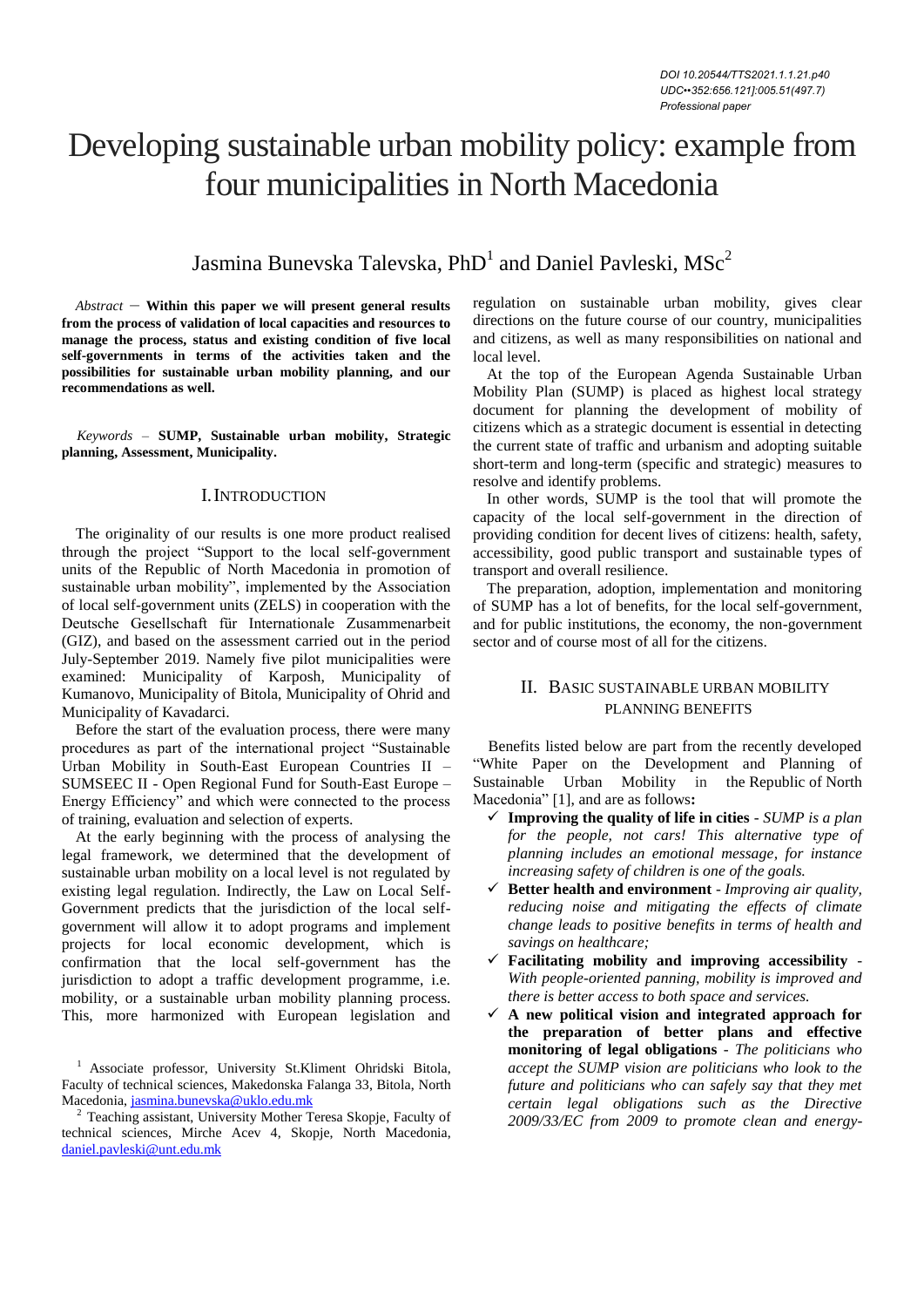# Developing sustainable urban mobility policy: example from four municipalities in North Macedonia

Jasmina Bunevska Talevska,  $\mathrm{PhD}^1$  and Daniel Pavleski,  $\mathrm{MSC}^2$ 

*Abstract –* **Within this paper we will present general results from the process of validation of local capacities and resources to manage the process, status and existing condition of five local self-governments in terms of the activities taken and the possibilities for sustainable urban mobility planning, and our recommendations as well.**

*Keywords –* **SUMP, Sustainable urban mobility, Strategic planning, Assessment, Municipality.**

#### I.INTRODUCTION

The originality of our results is one more product realised through the project "Support to the local self-government units of the Republic of North Macedonia in promotion of sustainable urban mobility", implemented by the Association of local self-government units (ZELS) in cooperation with the Deutsche Gesellschaft für Internationale Zusammenarbeit (GIZ), and based on the assessment carried out in the period July-September 2019. Namely five pilot municipalities were examined: Municipality of Karposh, Municipality of Kumanovo, Municipality of Bitola, Municipality of Ohrid and Municipality of Kavadarci.

Before the start of the evaluation process, there were many procedures as part of the international project "Sustainable Urban Mobility in South-East European Countries II – SUMSEEC II - Open Regional Fund for South-East Europe – Energy Efficiency" and which were connected to the process of training, evaluation and selection of experts.

At the early beginning with the process of analysing the legal framework, we determined that the development of sustainable urban mobility on a local level is not regulated by existing legal regulation. Indirectly, the Law on Local Self-Government predicts that the jurisdiction of the local selfgovernment will allow it to adopt programs and implement projects for local economic development, which is confirmation that the local self-government has the jurisdiction to adopt a traffic development programme, i.e. mobility, or a sustainable urban mobility planning process. This, more harmonized with European legislation and

<sup>1</sup> Associate professor, University St.Kliment Ohridski Bitola, Faculty of technical sciences, Makedonska Falanga 33, Bitola, North Macedonia[, jasmina.bunevska@uklo.edu.mk](mailto:jasmina.bunevska@uklo.edu.mk)

regulation on sustainable urban mobility, gives clear directions on the future course of our country, municipalities and citizens, as well as many responsibilities on national and local level.

At the top of the European Agenda Sustainable Urban Mobility Plan (SUMP) is placed as highest local strategy document for planning the development of mobility of citizens which as a strategic document is essential in detecting the current state of traffic and urbanism and adopting suitable short-term and long-term (specific and strategic) measures to resolve and identify problems.

In other words, SUMP is the tool that will promote the capacity of the local self-government in the direction of providing condition for decent lives of citizens: health, safety, accessibility, good public transport and sustainable types of transport and overall resilience.

The preparation, adoption, implementation and monitoring of SUMP has a lot of benefits, for the local self-government, and for public institutions, the economy, the non-government sector and of course most of all for the citizens.

## II. BASIC SUSTAINABLE URBAN MOBILITY PLANNING BENEFITS

Benefits listed below are part from the recently developed "White Paper on the Development and Planning of Sustainable Urban Mobility in the Republic of North Macedonia" [1], and are as follows**:**

- **Improving the quality of life in cities**  *SUMP is a plan for the people, not cars! This alternative type of planning includes an emotional message, for instance increasing safety of children is one of the goals.*
- **Better health and environment** *Improving air quality, reducing noise and mitigating the effects of climate change leads to positive benefits in terms of health and savings on healthcare;*
- **Facilitating mobility and improving accessibility** *With people-oriented panning, mobility is improved and there is better access to both space and services.*
- **A new political vision and integrated approach for the preparation of better plans and effective monitoring of legal obligations** - *The politicians who accept the SUMP vision are politicians who look to the future and politicians who can safely say that they met certain legal obligations such as the Directive 2009/33/EC from 2009 to promote clean and energy-*

<sup>2</sup> Teaching assistant, University Mother Teresa Skopje, Faculty of technical sciences, Mirche Acev 4, Skopje, North Macedonia, [daniel.pavleski@unt.edu.mk](mailto:daniel.pavleski@unt.edu.mk)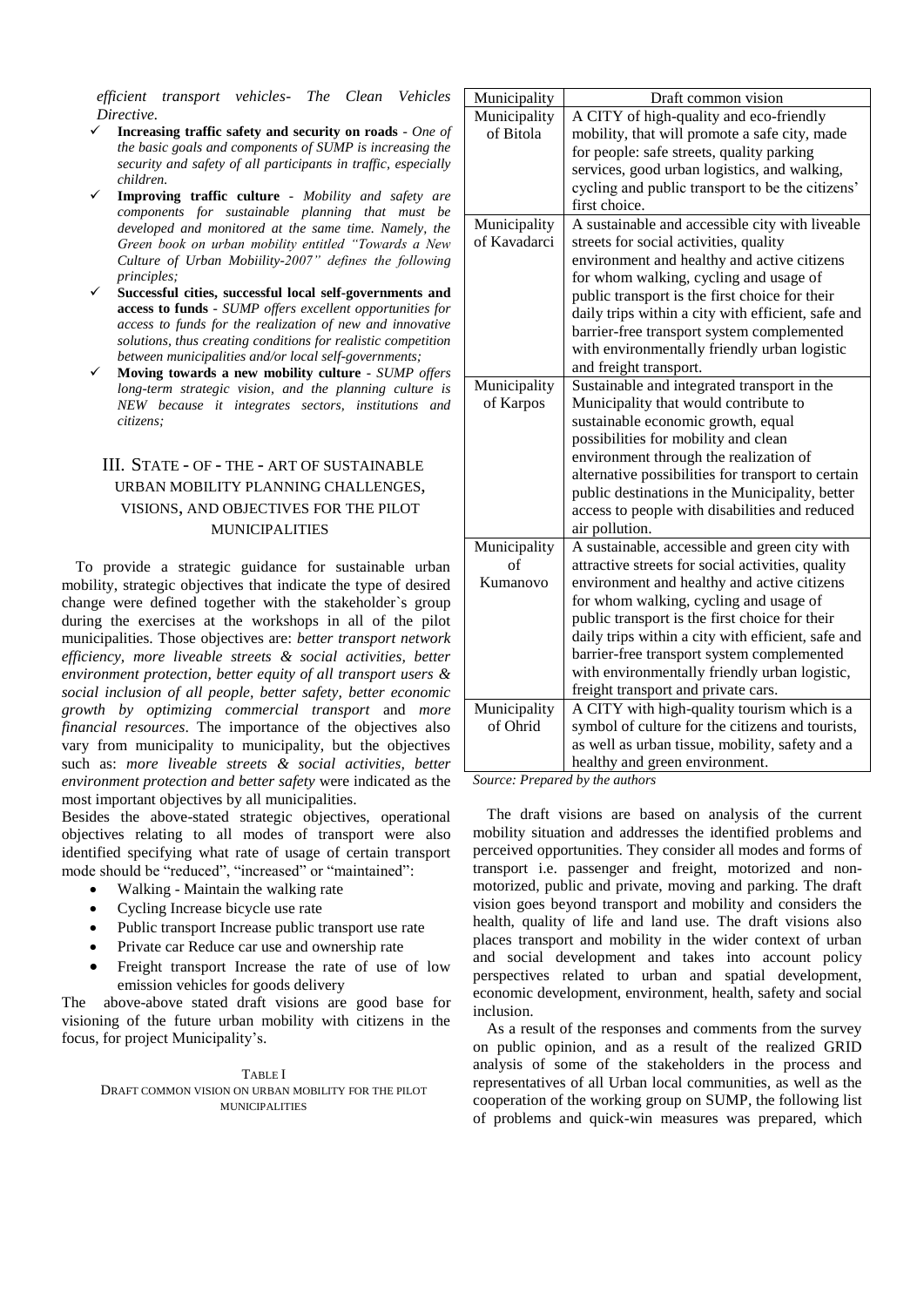*efficient transport vehicles- The Clean Vehicles Directive.*

- **Increasing traffic safety and security on roads**  *One of the basic goals and components of SUMP is increasing the security and safety of all participants in traffic, especially children.*
- **Improving traffic culture** *Mobility and safety are components for sustainable planning that must be developed and monitored at the same time. Namely, the Green book on urban mobility entitled "Towards a New Culture of Urban Mobiility-2007" defines the following principles;*
- **Successful cities, successful local self-governments and access to funds** - *SUMP offers excellent opportunities for access to funds for the realization of new and innovative solutions, thus creating conditions for realistic competition between municipalities and/or local self-governments;*
- **Moving towards a new mobility culture** *SUMP offers long-term strategic vision, and the planning culture is NEW because it integrates sectors, institutions and citizens;*

# III. STATE - OF - THE - ART OF SUSTAINABLE URBAN MOBILITY PLANNING CHALLENGES, VISIONS, AND OBJECTIVES FOR THE PILOT MUNICIPALITIES

To provide a strategic guidance for sustainable urban mobility, strategic objectives that indicate the type of desired change were defined together with the stakeholder`s group during the exercises at the workshops in all of the pilot municipalities. Those objectives are: *better transport network efficiency, more liveable streets & social activities, better environment protection, better equity of all transport users & social inclusion of all people, better safety, better economic growth by optimizing commercial transport* and *more financial resources*. The importance of the objectives also vary from municipality to municipality, but the objectives such as: *more liveable streets & social activities, better environment protection and better safety* were indicated as the most important objectives by all municipalities.

Besides the above-stated strategic objectives, operational objectives relating to all modes of transport were also identified specifying what rate of usage of certain transport mode should be "reduced", "increased" or "maintained":

- Walking Maintain the walking rate
- Cycling Increase bicycle use rate
- Public transport Increase public transport use rate
- Private car Reduce car use and ownership rate
- Freight transport Increase the rate of use of low emission vehicles for goods delivery

The above-above stated draft visions are good base for visioning of the future urban mobility with citizens in the focus, for project Municipality's.

#### TABLE I DRAFT COMMON VISION ON URBAN MOBILITY FOR THE PILOT MUNICIPALITIES

| Municipality | Draft common vision                                |  |
|--------------|----------------------------------------------------|--|
| Municipality | A CITY of high-quality and eco-friendly            |  |
| of Bitola    | mobility, that will promote a safe city, made      |  |
|              | for people: safe streets, quality parking          |  |
|              | services, good urban logistics, and walking,       |  |
|              | cycling and public transport to be the citizens'   |  |
|              | first choice.                                      |  |
| Municipality | A sustainable and accessible city with liveable    |  |
| of Kavadarci | streets for social activities, quality             |  |
|              | environment and healthy and active citizens        |  |
|              | for whom walking, cycling and usage of             |  |
|              | public transport is the first choice for their     |  |
|              | daily trips within a city with efficient, safe and |  |
|              | barrier-free transport system complemented         |  |
|              | with environmentally friendly urban logistic       |  |
|              | and freight transport.                             |  |
| Municipality | Sustainable and integrated transport in the        |  |
| of Karpos    | Municipality that would contribute to              |  |
|              | sustainable economic growth, equal                 |  |
|              | possibilities for mobility and clean               |  |
|              | environment through the realization of             |  |
|              | alternative possibilities for transport to certain |  |
|              | public destinations in the Municipality, better    |  |
|              | access to people with disabilities and reduced     |  |
|              | air pollution.                                     |  |
| Municipality | A sustainable, accessible and green city with      |  |
| $\alpha$ f   | attractive streets for social activities, quality  |  |
| Kumanovo     | environment and healthy and active citizens        |  |
|              | for whom walking, cycling and usage of             |  |
|              | public transport is the first choice for their     |  |
|              | daily trips within a city with efficient, safe and |  |
|              | barrier-free transport system complemented         |  |
|              | with environmentally friendly urban logistic,      |  |
|              | freight transport and private cars.                |  |
| Municipality | A CITY with high-quality tourism which is a        |  |
| of Ohrid     | symbol of culture for the citizens and tourists,   |  |
|              | as well as urban tissue, mobility, safety and a    |  |
|              | healthy and green environment.                     |  |

*Source: Prepared by the authors*

The draft visions are based on analysis of the current mobility situation and addresses the identified problems and perceived opportunities. They consider all modes and forms of transport i.e. passenger and freight, motorized and nonmotorized, public and private, moving and parking. The draft vision goes beyond transport and mobility and considers the health, quality of life and land use. The draft visions also places transport and mobility in the wider context of urban and social development and takes into account policy perspectives related to urban and spatial development, economic development, environment, health, safety and social inclusion.

As a result of the responses and comments from the survey on public opinion, and as a result of the realized GRID analysis of some of the stakeholders in the process and representatives of all Urban local communities, as well as the cooperation of the working group on SUMP, the following list of problems and quick-win measures was prepared, which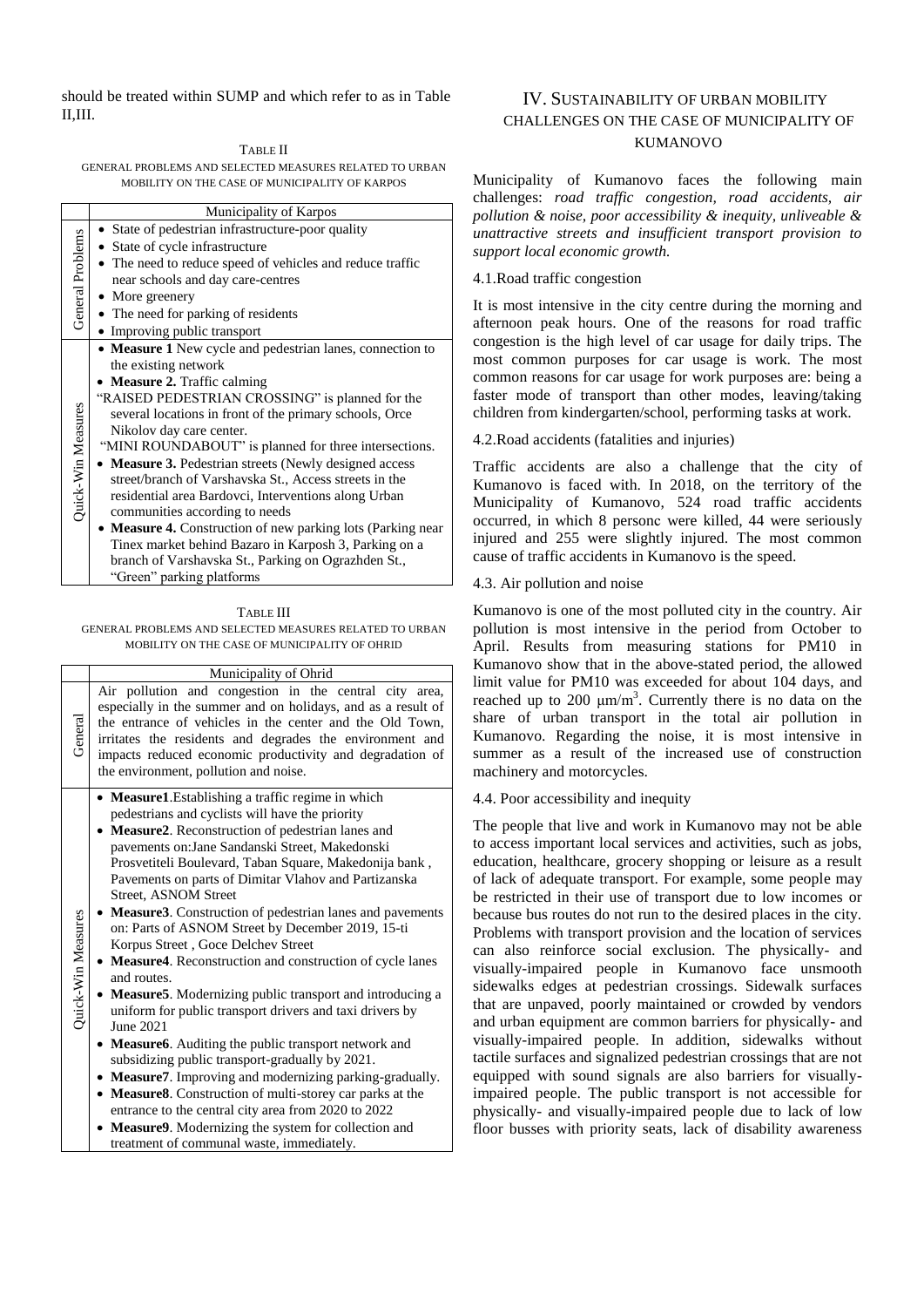should be treated within SUMP and which refer to as in Table II,III.

| TABLE II                                                |
|---------------------------------------------------------|
| GENERAL PROBLEMS AND SELECTED MEASURES RELATED TO URBAN |
| MOBILITY ON THE CASE OF MUNICIPALITY OF KARPOS          |

|                    | Municipality of Karpos                                      |  |
|--------------------|-------------------------------------------------------------|--|
|                    | • State of pedestrian infrastructure-poor quality           |  |
|                    | • State of cycle infrastructure                             |  |
| General Problems   | • The need to reduce speed of vehicles and reduce traffic   |  |
|                    | near schools and day care-centres                           |  |
|                    | $\bullet$ More greenery                                     |  |
|                    | • The need for parking of residents                         |  |
|                    | • Improving public transport                                |  |
|                    | • Measure 1 New cycle and pedestrian lanes, connection to   |  |
|                    | the existing network                                        |  |
|                    | • Measure 2. Traffic calming                                |  |
|                    | "RAISED PEDESTRIAN CROSSING" is planned for the             |  |
|                    | several locations in front of the primary schools, Orce     |  |
|                    | Nikolov day care center.                                    |  |
|                    | "MINI ROUNDABOUT" is planned for three intersections.       |  |
| Quick-Win Measures | • Measure 3. Pedestrian streets (Newly designed access      |  |
|                    | street/branch of Varshavska St., Access streets in the      |  |
|                    | residential area Bardovci, Interventions along Urban        |  |
|                    | communities according to needs                              |  |
|                    | • Measure 4. Construction of new parking lots (Parking near |  |
|                    | Tinex market behind Bazaro in Karposh 3, Parking on a       |  |
|                    | branch of Varshavska St., Parking on Ograzhden St.,         |  |
|                    | "Green" parking platforms                                   |  |

#### TABLE III

GENERAL PROBLEMS AND SELECTED MEASURES RELATED TO URBAN MOBILITY ON THE CASE OF MUNICIPALITY OF OHRID

|                    | Municipality of Ohrid                                                                                                                                                                                                                                                                                                                                                                                                                                                                                                                                                                                                                                                                                                                                                                                                                                                                                                                                                                                                                                                                                                                         |  |  |
|--------------------|-----------------------------------------------------------------------------------------------------------------------------------------------------------------------------------------------------------------------------------------------------------------------------------------------------------------------------------------------------------------------------------------------------------------------------------------------------------------------------------------------------------------------------------------------------------------------------------------------------------------------------------------------------------------------------------------------------------------------------------------------------------------------------------------------------------------------------------------------------------------------------------------------------------------------------------------------------------------------------------------------------------------------------------------------------------------------------------------------------------------------------------------------|--|--|
| General            | Air pollution and congestion in the central city area,<br>especially in the summer and on holidays, and as a result of<br>the entrance of vehicles in the center and the Old Town,<br>irritates the residents and degrades the environment and<br>impacts reduced economic productivity and degradation of<br>the environment, pollution and noise.                                                                                                                                                                                                                                                                                                                                                                                                                                                                                                                                                                                                                                                                                                                                                                                           |  |  |
| Quick-Win Measures | • Measure1. Establishing a traffic regime in which<br>pedestrians and cyclists will have the priority<br>• Measure2. Reconstruction of pedestrian lanes and<br>pavements on: Jane Sandanski Street, Makedonski<br>Prosvetiteli Boulevard, Taban Square, Makedonija bank,<br>Pavements on parts of Dimitar Vlahov and Partizanska<br><b>Street, ASNOM Street</b><br>• Measure 3. Construction of pedestrian lanes and pavements<br>on: Parts of ASNOM Street by December 2019, 15-ti<br>Korpus Street, Goce Delchev Street<br>• Measure4. Reconstruction and construction of cycle lanes<br>and routes.<br>• Measure5. Modernizing public transport and introducing a<br>uniform for public transport drivers and taxi drivers by<br>June 2021<br>• Measure6. Auditing the public transport network and<br>subsidizing public transport-gradually by 2021.<br>• Measure7. Improving and modernizing parking-gradually.<br>• Measure8. Construction of multi-storey car parks at the<br>entrance to the central city area from 2020 to 2022<br>Measure9. Modernizing the system for collection and<br>treatment of communal waste, immediately. |  |  |

## IV. SUSTAINABILITY OF URBAN MOBILITY CHALLENGES ON THE CASE OF MUNICIPALITY OF KUMANOVO

Municipality of Kumanovo faces the following main challenges: *road traffic congestion, road accidents, air pollution & noise, poor accessibility & inequity, unliveable & unattractive streets and insufficient transport provision to support local economic growth.*

#### 4.1.Road traffic congestion

It is most intensive in the city centre during the morning and afternoon peak hours. One of the reasons for road traffic congestion is the high level of car usage for daily trips. The most common purposes for car usage is work. The most common reasons for car usage for work purposes are: being a faster mode of transport than other modes, leaving/taking children from kindergarten/school, performing tasks at work.

## 4.2.Road accidents (fatalities and injuries)

Traffic accidents are also a challenge that the city of Kumanovo is faced with. In 2018, on the territory of the Municipality of Kumanovo, 524 road traffic accidents occurred, in which 8 personс were killed, 44 were seriously injured and 255 were slightly injured. The most common cause of traffic accidents in Kumanovo is the speed.

#### 4.3. Air pollution and noise

Kumanovo is one of the most polluted city in the country. Air pollution is most intensive in the period from October to April. Results from measuring stations for PM10 in Kumanovo show that in the above-stated period, the allowed limit value for PM10 was exceeded for about 104 days, and reached up to 200  $\mu$ m/m<sup>3</sup>. Currently there is no data on the share of urban transport in the total air pollution in Kumanovo. Regarding the noise, it is most intensive in summer as a result of the increased use of construction machinery and motorcycles.

#### 4.4. Poor accessibility and inequity

The people that live and work in Kumanovo may not be able to access important local services and activities, such as jobs, education, healthcare, grocery shopping or leisure as a result of lack of adequate transport. For example, some people may be restricted in their use of transport due to low incomes or because bus routes do not run to the desired places in the city. Problems with transport provision and the location of services can also reinforce social exclusion. The physically- and visually-impaired people in Kumanovo face unsmooth sidewalks edges at pedestrian crossings. Sidewalk surfaces that are unpaved, poorly maintained or crowded by vendors and urban equipment are common barriers for physically- and visually-impaired people. In addition, sidewalks without tactile surfaces and signalized pedestrian crossings that are not equipped with sound signals are also barriers for visuallyimpaired people. The public transport is not accessible for physically- and visually-impaired people due to lack of low floor busses with priority seats, lack of disability awareness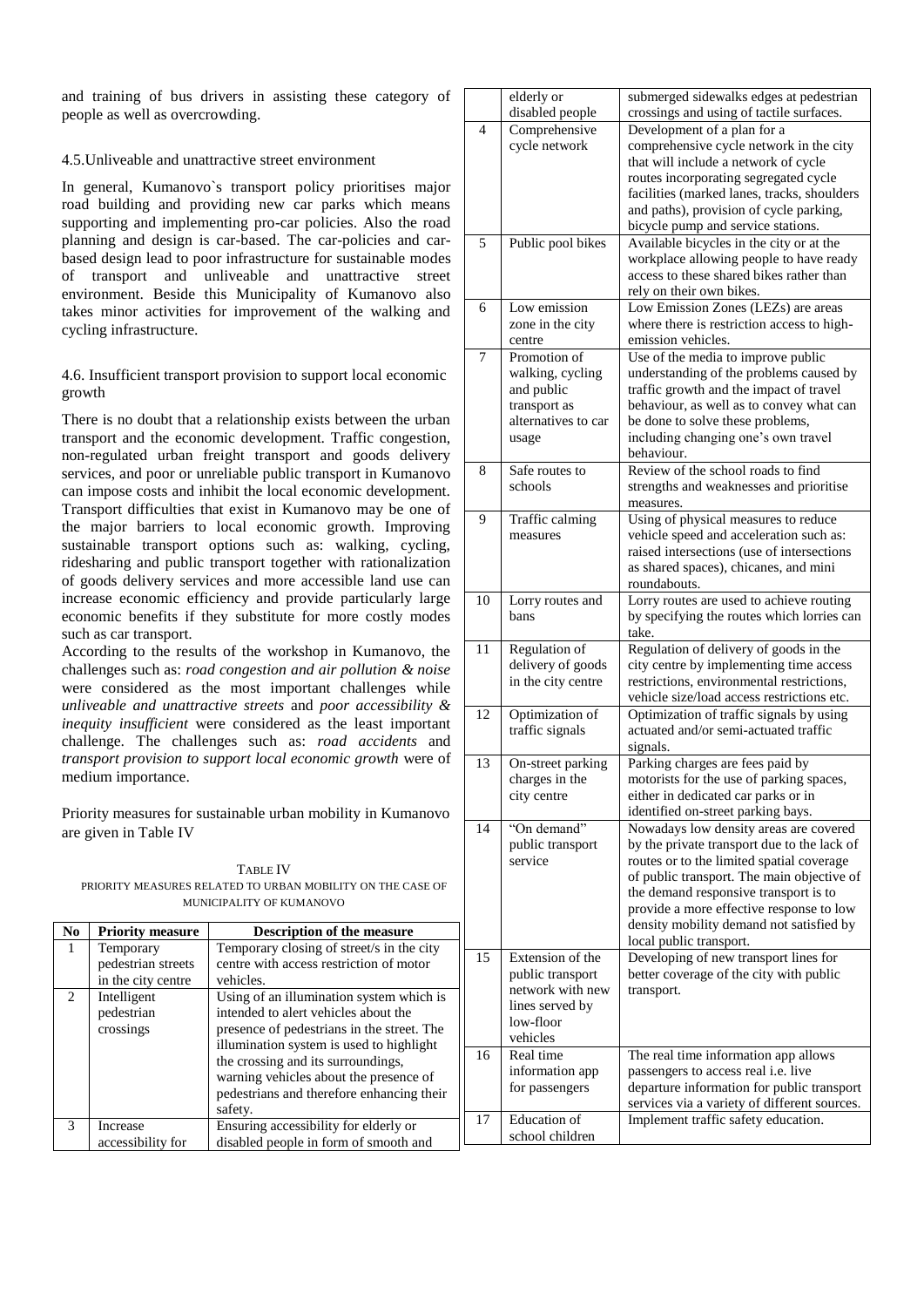and training of bus drivers in assisting these category of people as well as overcrowding.

#### 4.5.Unliveable and unattractive street environment

In general, Kumanovo`s transport policy prioritises major road building and providing new car parks which means supporting and implementing pro-car policies. Also the road planning and design is car-based. The car-policies and carbased design lead to poor infrastructure for sustainable modes of transport and unliveable and unattractive street environment. Beside this Municipality of Kumanovo also takes minor activities for improvement of the walking and cycling infrastructure.

## 4.6. Insufficient transport provision to support local economic growth

There is no doubt that a relationship exists between the urban transport and the economic development. Traffic congestion, non-regulated urban freight transport and goods delivery services, and poor or unreliable public transport in Kumanovo can impose costs and inhibit the local economic development. Transport difficulties that exist in Kumanovo may be one of the major barriers to local economic growth. Improving sustainable transport options such as: walking, cycling, ridesharing and public transport together with rationalization of goods delivery services and more accessible land use can increase economic efficiency and provide particularly large economic benefits if they substitute for more costly modes such as car transport.

According to the results of the workshop in Kumanovo, the challenges such as: *road congestion and air pollution & noise* were considered as the most important challenges while *unliveable and unattractive streets* and *poor accessibility & inequity insufficient* were considered as the least important challenge. The challenges such as: *road accidents* and *transport provision to support local economic growth* were of medium importance.

Priority measures for sustainable urban mobility in Kumanovo are given in Table IV

| TABLE IV                                                   |  |  |
|------------------------------------------------------------|--|--|
| PRIORITY MEASURES RELATED TO URBAN MOBILITY ON THE CASE OF |  |  |
| MUNICIPALITY OF KUMANOVO                                   |  |  |

| N <sub>0</sub>                | <b>Priority measure</b>                                                                         | <b>Description of the measure</b>                                                                                                                                                                                                                                                                                                                                                                            |          |                                                                                  |
|-------------------------------|-------------------------------------------------------------------------------------------------|--------------------------------------------------------------------------------------------------------------------------------------------------------------------------------------------------------------------------------------------------------------------------------------------------------------------------------------------------------------------------------------------------------------|----------|----------------------------------------------------------------------------------|
| $\mathbf{I}$<br>$\mathcal{L}$ | Temporary<br>pedestrian streets<br>in the city centre<br>Intelligent<br>pedestrian<br>crossings | Temporary closing of street/s in the city<br>centre with access restriction of motor<br>vehicles.<br>Using of an illumination system which is<br>intended to alert vehicles about the<br>presence of pedestrians in the street. The<br>illumination system is used to highlight<br>the crossing and its surroundings,<br>warning vehicles about the presence of<br>pedestrians and therefore enhancing their | 15<br>16 | Exte<br>pub.<br>nety<br>line:<br>low-<br>vehi<br>Rea<br>info<br>for <sub>1</sub> |
| $\mathcal{F}$                 | Increase                                                                                        | safety.<br>Ensuring accessibility for elderly or                                                                                                                                                                                                                                                                                                                                                             | 17       | Edu<br>scho                                                                      |
|                               | accessibility for                                                                               | disabled people in form of smooth and                                                                                                                                                                                                                                                                                                                                                                        |          |                                                                                  |

|                | elderly or                           | submerged sidewalks edges at pedestrian                                           |
|----------------|--------------------------------------|-----------------------------------------------------------------------------------|
|                | disabled people                      | crossings and using of tactile surfaces.                                          |
| $\overline{4}$ | Comprehensive                        | Development of a plan for a                                                       |
|                | cycle network                        | comprehensive cycle network in the city                                           |
|                |                                      | that will include a network of cycle                                              |
|                |                                      | routes incorporating segregated cycle                                             |
|                |                                      | facilities (marked lanes, tracks, shoulders                                       |
|                |                                      | and paths), provision of cycle parking,                                           |
|                |                                      | bicycle pump and service stations.                                                |
| 5              | Public pool bikes                    | Available bicycles in the city or at the                                          |
|                |                                      | workplace allowing people to have ready                                           |
|                |                                      | access to these shared bikes rather than<br>rely on their own bikes.              |
| 6              | Low emission                         |                                                                                   |
|                |                                      | Low Emission Zones (LEZs) are areas<br>where there is restriction access to high- |
|                | zone in the city                     | emission vehicles.                                                                |
| 7              | centre<br>Promotion of               | Use of the media to improve public                                                |
|                |                                      | understanding of the problems caused by                                           |
|                | walking, cycling<br>and public       | traffic growth and the impact of travel                                           |
|                |                                      | behaviour, as well as to convey what can                                          |
|                | transport as<br>alternatives to car  | be done to solve these problems,                                                  |
|                | usage                                | including changing one's own travel                                               |
|                |                                      | behaviour.                                                                        |
| 8              | Safe routes to                       | Review of the school roads to find                                                |
|                | schools                              | strengths and weaknesses and prioritise                                           |
|                |                                      | measures.                                                                         |
| 9              | Traffic calming                      | Using of physical measures to reduce                                              |
|                | measures                             | vehicle speed and acceleration such as:                                           |
|                |                                      | raised intersections (use of intersections                                        |
|                |                                      | as shared spaces), chicanes, and mini                                             |
|                |                                      | roundabouts.                                                                      |
| 10             | Lorry routes and                     | Lorry routes are used to achieve routing                                          |
|                | bans                                 | by specifying the routes which lorries can                                        |
|                |                                      | take.                                                                             |
| 11             | Regulation of                        | Regulation of delivery of goods in the                                            |
|                | delivery of goods                    | city centre by implementing time access                                           |
|                | in the city centre                   | restrictions, environmental restrictions,                                         |
|                |                                      | vehicle size/load access restrictions etc.                                        |
| 12             | Optimization of                      | Optimization of traffic signals by using                                          |
|                | traffic signals                      | actuated and/or semi-actuated traffic                                             |
|                |                                      | signals.                                                                          |
| 13             | On-street parking                    | Parking charges are fees paid by                                                  |
|                | charges in the                       | motorists for the use of parking spaces,                                          |
|                | city centre                          | either in dedicated car parks or in                                               |
|                |                                      | identified on-street parking bays.                                                |
| 14             | "On demand"                          | Nowadays low density areas are covered                                            |
|                | public transport                     | by the private transport due to the lack of                                       |
|                | service                              | routes or to the limited spatial coverage                                         |
|                |                                      | of public transport. The main objective of                                        |
|                |                                      | the demand responsive transport is to                                             |
|                |                                      | provide a more effective response to low                                          |
|                |                                      | density mobility demand not satisfied by                                          |
| 15             | Extension of the                     | local public transport.<br>Developing of new transport lines for                  |
|                |                                      | better coverage of the city with public                                           |
|                | public transport<br>network with new |                                                                                   |
|                | lines served by                      | transport.                                                                        |
|                | low-floor                            |                                                                                   |
|                | vehicles                             |                                                                                   |
| 16             | Real time                            | The real time information app allows                                              |
|                | information app                      | passengers to access real i.e. live                                               |
|                | for passengers                       | departure information for public transport                                        |
|                |                                      | services via a variety of different sources.                                      |
| 17             | Education of                         | Implement traffic safety education.                                               |
|                | school children                      |                                                                                   |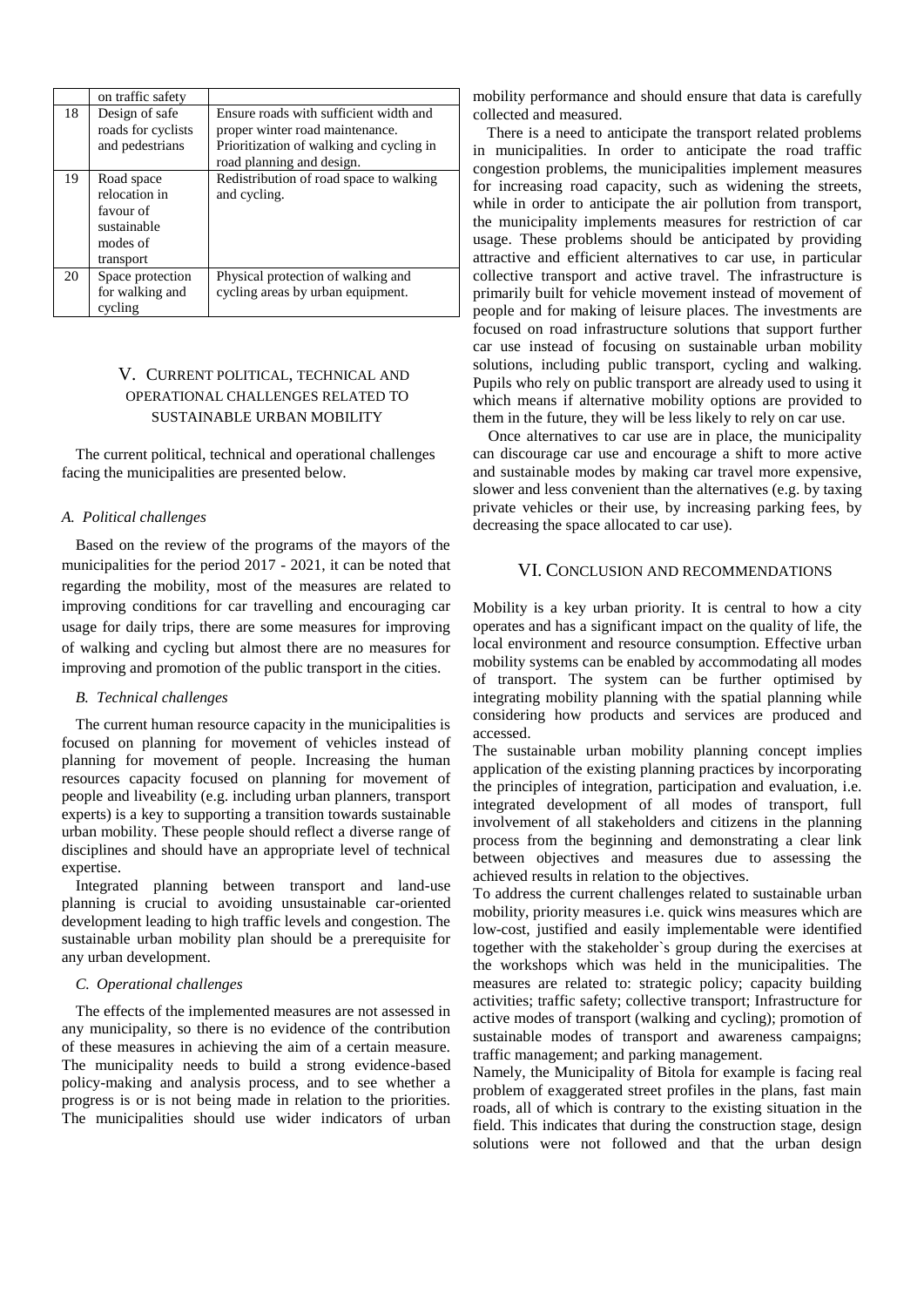|    | on traffic safety                                                                |                                                                                                                                                    |
|----|----------------------------------------------------------------------------------|----------------------------------------------------------------------------------------------------------------------------------------------------|
| 18 | Design of safe<br>roads for cyclists<br>and pedestrians                          | Ensure roads with sufficient width and<br>proper winter road maintenance.<br>Prioritization of walking and cycling in<br>road planning and design. |
| 19 | Road space<br>relocation in<br>favour of<br>sustainable<br>modes of<br>transport | Redistribution of road space to walking<br>and cycling.                                                                                            |
| 20 | Space protection<br>for walking and<br>cycling                                   | Physical protection of walking and<br>cycling areas by urban equipment.                                                                            |

## V. CURRENT POLITICAL, TECHNICAL AND OPERATIONAL CHALLENGES RELATED TO SUSTAINABLE URBAN MOBILITY

The current political, technical and operational challenges facing the municipalities are presented below.

#### *A. Political challenges*

Based on the review of the programs of the mayors of the municipalities for the period 2017 - 2021, it can be noted that regarding the mobility, most of the measures are related to improving conditions for car travelling and encouraging car usage for daily trips, there are some measures for improving of walking and cycling but almost there are no measures for improving and promotion of the public transport in the cities.

#### *B. Technical challenges*

The current human resource capacity in the municipalities is focused on planning for movement of vehicles instead of planning for movement of people. Increasing the human resources capacity focused on planning for movement of people and liveability (e.g. including urban planners, transport experts) is a key to supporting a transition towards sustainable urban mobility. These people should reflect a diverse range of disciplines and should have an appropriate level of technical expertise.

Integrated planning between transport and land-use planning is crucial to avoiding unsustainable car-oriented development leading to high traffic levels and congestion. The sustainable urban mobility plan should be a prerequisite for any urban development.

#### *C. Operational challenges*

The effects of the implemented measures are not assessed in any municipality, so there is no evidence of the contribution of these measures in achieving the aim of a certain measure. The municipality needs to build a strong evidence-based policy-making and analysis process, and to see whether a progress is or is not being made in relation to the priorities. The municipalities should use wider indicators of urban mobility performance and should ensure that data is carefully collected and measured.

There is a need to anticipate the transport related problems in municipalities. In order to anticipate the road traffic congestion problems, the municipalities implement measures for increasing road capacity, such as widening the streets, while in order to anticipate the air pollution from transport, the municipality implements measures for restriction of car usage. These problems should be anticipated by providing attractive and efficient alternatives to car use, in particular collective transport and active travel. The infrastructure is primarily built for vehicle movement instead of movement of people and for making of leisure places. The investments are focused on road infrastructure solutions that support further car use instead of focusing on sustainable urban mobility solutions, including public transport, cycling and walking. Pupils who rely on public transport are already used to using it which means if alternative mobility options are provided to them in the future, they will be less likely to rely on car use.

Once alternatives to car use are in place, the municipality can discourage car use and encourage a shift to more active and sustainable modes by making car travel more expensive, slower and less convenient than the alternatives (e.g. by taxing private vehicles or their use, by increasing parking fees, by decreasing the space allocated to car use).

### VI. CONCLUSION AND RECOMMENDATIONS

Mobility is a key urban priority. It is central to how a city operates and has a significant impact on the quality of life, the local environment and resource consumption. Effective urban mobility systems can be enabled by accommodating all modes of transport. The system can be further optimised by integrating mobility planning with the spatial planning while considering how products and services are produced and accessed.

The sustainable urban mobility planning concept implies application of the existing planning practices by incorporating the principles of integration, participation and evaluation, i.e. integrated development of all modes of transport, full involvement of all stakeholders and citizens in the planning process from the beginning and demonstrating a clear link between objectives and measures due to assessing the achieved results in relation to the objectives.

To address the current challenges related to sustainable urban mobility, priority measures i.e. quick wins measures which are low-cost, justified and easily implementable were identified together with the stakeholder`s group during the exercises at the workshops which was held in the municipalities. The measures are related to: strategic policy; capacity building activities; traffic safety; collective transport; Infrastructure for active modes of transport (walking and cycling); promotion of sustainable modes of transport and awareness campaigns; traffic management; and parking management.

Namely, the Municipality of Bitola for example is facing real problem of exaggerated street profiles in the plans, fast main roads, all of which is contrary to the existing situation in the field. This indicates that during the construction stage, design solutions were not followed and that the urban design